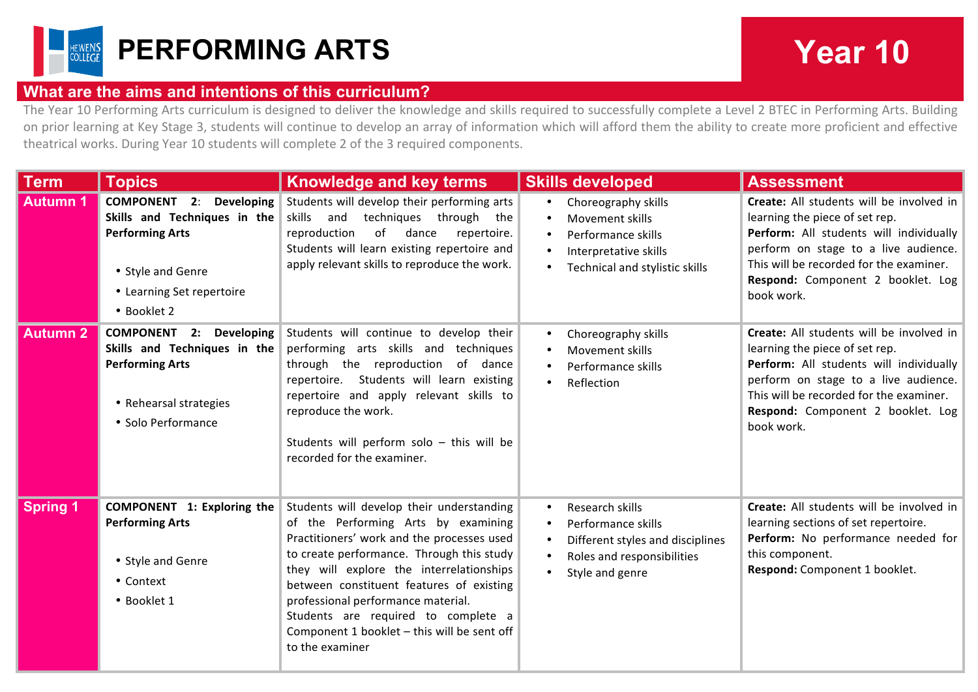

## **What are the aims and intentions of this curriculum?**

The Year 10 Performing Arts curriculum is designed to deliver the knowledge and skills required to successfully complete a Level 2 BTEC in Performing Arts. Building on prior learning at Key Stage 3, students will continue to develop an array of information which will afford them the ability to create more proficient and effective theatrical works. During Year 10 students will complete 2 of the 3 required components.

| <b>Term</b>     | <b>Topics</b>                                                                                                                                                       | <b>Knowledge and key terms</b>                                                                                                                                                                                                                                                                                                                                                                                     | <b>Skills developed</b>                                                                                                                              | <b>Assessment</b>                                                                                                                                                                                                                                           |
|-----------------|---------------------------------------------------------------------------------------------------------------------------------------------------------------------|--------------------------------------------------------------------------------------------------------------------------------------------------------------------------------------------------------------------------------------------------------------------------------------------------------------------------------------------------------------------------------------------------------------------|------------------------------------------------------------------------------------------------------------------------------------------------------|-------------------------------------------------------------------------------------------------------------------------------------------------------------------------------------------------------------------------------------------------------------|
| <b>Autumn 1</b> | <b>COMPONENT 2:</b><br><b>Developing</b><br>Skills and Techniques in the<br><b>Performing Arts</b><br>• Style and Genre<br>• Learning Set repertoire<br>• Booklet 2 | Students will develop their performing arts<br>and techniques through the<br>skills<br>reproduction<br>of<br>dance<br>repertoire.<br>Students will learn existing repertoire and<br>apply relevant skills to reproduce the work.                                                                                                                                                                                   | Choreography skills<br>$\bullet$<br>Movement skills<br>Performance skills<br>Interpretative skills<br>Technical and stylistic skills                 | Create: All students will be involved in<br>learning the piece of set rep.<br>Perform: All students will individually<br>perform on stage to a live audience.<br>This will be recorded for the examiner.<br>Respond: Component 2 booklet. Log<br>book work. |
| <b>Autumn 2</b> | <b>COMPONENT 2: Developing</b><br>Skills and Techniques in the<br><b>Performing Arts</b><br>• Rehearsal strategies<br>• Solo Performance                            | Students will continue to develop their<br>performing arts skills and techniques<br>through the reproduction of dance<br>repertoire. Students will learn existing<br>repertoire and apply relevant skills to<br>reproduce the work.<br>Students will perform solo - this will be<br>recorded for the examiner.                                                                                                     | Choreography skills<br>Movement skills<br>Performance skills<br>Reflection<br>$\bullet$                                                              | Create: All students will be involved in<br>learning the piece of set rep.<br>Perform: All students will individually<br>perform on stage to a live audience.<br>This will be recorded for the examiner.<br>Respond: Component 2 booklet. Log<br>book work. |
| <b>Spring 1</b> | <b>COMPONENT</b> 1: Exploring the<br><b>Performing Arts</b><br>• Style and Genre<br>• Context<br>· Booklet 1                                                        | Students will develop their understanding<br>of the Performing Arts by examining<br>Practitioners' work and the processes used<br>to create performance. Through this study<br>they will explore the interrelationships<br>between constituent features of existing<br>professional performance material.<br>Students are required to complete a<br>Component 1 booklet - this will be sent off<br>to the examiner | Research skills<br>$\bullet$<br>Performance skills<br>$\bullet$<br>Different styles and disciplines<br>Roles and responsibilities<br>Style and genre | Create: All students will be involved in<br>learning sections of set repertoire.<br>Perform: No performance needed for<br>this component.<br>Respond: Component 1 booklet.                                                                                  |